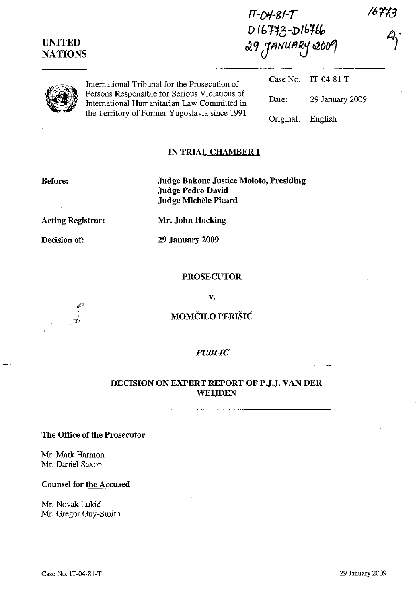| <b>UNITED</b><br><b>NATIONS</b> |                                                                                                                                               | $1T - D4 - 81 - T$<br>$D16773 - D16766$<br>$29$ JANUARY 2009 |                 | 16773 |
|---------------------------------|-----------------------------------------------------------------------------------------------------------------------------------------------|--------------------------------------------------------------|-----------------|-------|
|                                 | International Tribunal for the Prosecution of                                                                                                 | Case No.                                                     | $IT-04-81-T$    |       |
|                                 | Persons Responsible for Serious Violations of<br>International Humanitarian Law Committed in<br>the Territory of Former Yugoslavia since 1991 | Date:                                                        | 29 January 2009 |       |
|                                 |                                                                                                                                               | Original:                                                    | English         |       |

### IN TRIAL CHAMBER **I**

Before:

Judge Bakone Justice Moloto, Presiding Judge Pedro David Judge Michele Picard

Acting Registrar:

Decision of:

29 January 2009

Mr. John Hocking

### PROSECUTOR

v.

MOMČILO PERIŠIĆ

## *PUBLIC*

### DECISION ON EXPERT REPORT OF P.J.J. VAN DER WEIJDEN

### The Office of the Prosecutor

Mr. Mark Harmon Mr. Daniel Saxon

#### Counsel for the Accused

Mr. Novak Lukic Mr. Gregor Guy-Smith





/6t'13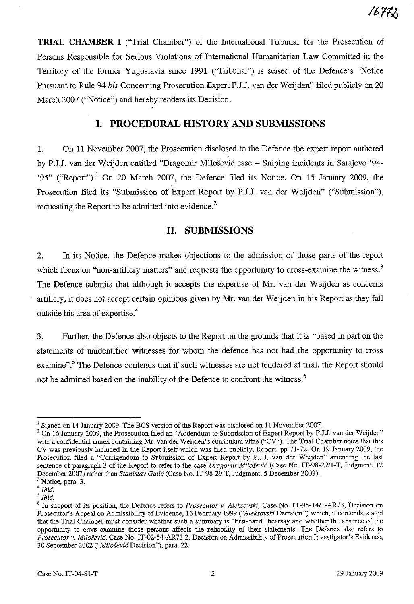**TRIAL CHAMBER I** ("Trial Chamber") of the International Tribunal for the Prosecution of Persons Responsible for Serious Violations of International Humanitarian Law Committed in the Territory of the former Yugoslavia since 1991 ("Tribunal") is seised of the Defence's "Notice Pursuant to Rule 94 *bis* Concerning Prosecution Expert PJ.J. van der Weijden" filed publicly on 20 March 2007 ("Notice") and hereby renders its Decision.

## **I. PROCEDURAL HISTORY AND SUBMISSIONS**

1. On 11 November 2007, the Prosecution disclosed to the Defence the expert report authored by PJ.J. van der Weijden entitled "Dragomir Milosevic case - Sniping incidents in Sarajevo '94- '95" ("Report").<sup>1</sup> On 20 March 2007, the Defence filed its Notice. On 15 January 2009, the Prosecution filed its "Submission of Expert Report by P.J.J. van der Weijden" ("Submission"), requesting the Report to be admitted into evidence. $2$ 

## **II. SUBMISSIONS**

2. In its Notice, the Defence makes objections to the admission of those parts of the report which focus on "non-artillery matters" and requests the opportunity to cross-examine the witness.<sup>3</sup> The Defence submits that although it accepts the expertise of Mr. van der Weijden as concerns artillery, it does not accept certain opinions given by Mr. van der Weijden in his Report as they fall outside his area of expertise.<sup>4</sup>

3. Further, the Defence also objects to the Report on the grounds that it is "based in part on the statements of unidentified witnesses for whom the defence has not had the opportunity to cross examine".<sup>5</sup> The Defence contends that if such witnesses are not tendered at trial, the Report should not be admitted based on the inability of the Defence to confront the witness.<sup>6</sup>

<sup>&</sup>lt;sup>1</sup> Signed on 14 January 2009. The BCS version of the Report was disclosed on 11 November 2007.

<sup>&</sup>lt;sup>2</sup> On 16 January 2009, the Prosecution filed an "Addendum to Submission of Expert Report by P.J.J. van der Weijden" with a confidential annex containing Mr. van der Weijden's curriculum vitae ("CV"). The Trial Chamber notes that this CV was previously included in the Report itself which was filed publicly, Report, pp 71-72. On 19 Jannary 2009, the Prosecution filed a "Corrigendum to Submission of Expert Report by P.J.J. van der Weijden" amending the last sentence of paragraph 3 of the Report to refer to the case *Dragomir Milosevic* (Case No. IT-98-29/1-T, Judgment, 12 December 2007) rather than *Stanislav* Galic (Case No. IT-98-29-T, Judgment, 5 December 2003).

<sup>&</sup>lt;sup>3</sup> Notice, para. 3.

<sup>4</sup> *Ibid.*

*<sup>5</sup> Ibid.*

<sup>6</sup> In support of its position, the Defence refers to *Prosecutor v. Aleksovski,* Case No. IT-95-14/l-AR73, Decision on Prosecutor's Appeal on Admissibility of Evidence, 16 February 1999 *("Aleksovski* Decision") which, it contends, stated that the Trial Chamber must consider whether such a summary is "first-hand" hearsay and whether the absence of the opportunity to cross-examine those persons affects the reliability of their statements. The Defence also refers to *Prosecutor v.* Milosevic. Case No. IT-02-54-AR73.2, Decision on Admissibility of Prosecution Investigator's Evidence, 30 September 2002 *("MilosevicDecision"),* para. 22.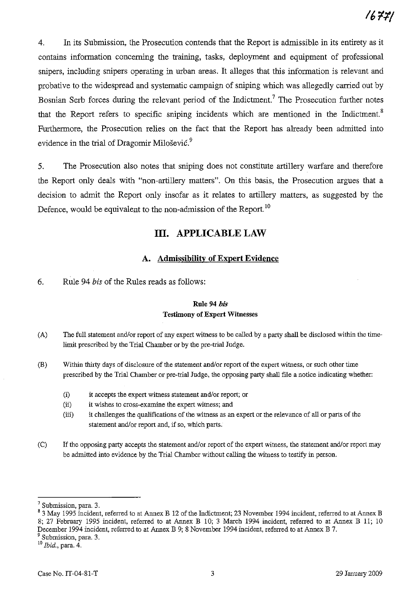4. In its Submission, the Prosecution contends that the Report is admissible in its entirety as it contains information concerning the training, tasks, deployment and equipment of professional snipers, including snipers operating in urban areas. It alleges that this information is relevant and probative to the widespread and systematic campaign of sniping which was allegedly carried out by Bosnian Serb forces during the relevant period of the Indictment.<sup>7</sup> The Prosecution further notes that the Report refers to specific sniping incidents which are mentioned in the Indictment.<sup>8</sup> Furthermore, the Prosecution relies on the fact that the Report has already been admitted into evidence in the trial of Dragomir Milošević.<sup>9</sup>

5. The Prosecution also notes that sniping does not constitute artillery warfare and therefore the Report only deals with "non-artillery matters". On this basis, the Prosecution argues that a decision to admit the Report only insofar as it relates to artillery matters, as suggested by the Defence, would be equivalent to the non-admission of the Report. <sup>10</sup>

## **III. APPLICABLE** LAW

### A. Admissibility of Expert Evidence

6. Rule 94 *bis* of the Rules reads as follows:

#### Rule 94 *his* Testimony of Expert Witnesses

- (A) The full statement and/or report of any expert witness to be called by a party shall be disclosed within the timelimit prescribed by the Trial Chamber or by the pre-trial Judge.
- (B) Within thirty days of disclosure of the statement and/or report of the expert witness, or such other time prescribed by the Trial Chamber or pre-trial Judge, the opposing party shall file a notice indicating whether:
	- (i) it accepts the expert witness statement and/or report; or
	- (ii) it wishes to cross-examine the expert witness; and
	- (iii) it challenges the qualifications of the witness as an expert or the relevance of all or parts of the statement and/or report and, if so, which parts.
- (C) If the opposing party accepts the statement and/or report of the expert witness, the statement and/or report may be admitted into evidence by the Trial Chamber without calling the witness to testify in person.

<sup>10</sup> *Ibid.,* para. 4.

<sup>7</sup> Submission, para. 3.

<sup>&</sup>lt;sup>8</sup> 3 May 1995 incident, referred to at Annex B 12 of the Indictment; 23 November 1994 incident, referred to at Annex B 8; 27 February 1995 incident, referred to at Annex B 10; 3 March 1994 incident, referred to at Annex B 11; 10 December 1994 incident, referred to at Annex B 9; 8 November 1994 incident, referred to at Annex B 7. <sup>9</sup> Submission, para. 3.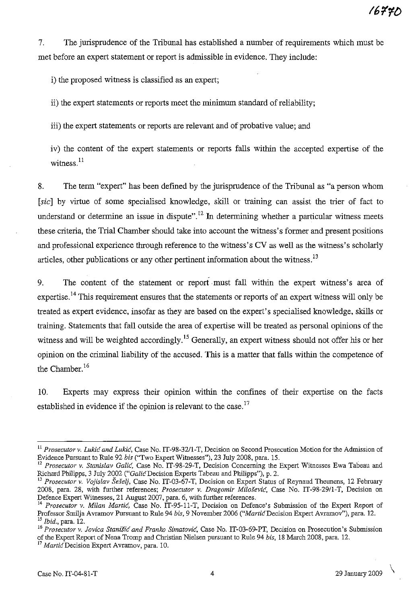7. The jurisprudence of the Tribunal has established a number of requirements which must be met before an expert statement or report is admissible in evidence. They include:

i) the proposed witness is classified as an expert;

ii) the expert statements or reports meet the minimum standard ofreliability;

iii) the expert statements or reports are relevant and of probative value; and

iv) the content of the expert statements or reports falls within the accepted expertise of the witness.<sup>11</sup>

8. The term "expert" has been defined by the jurisprudence of the Tribunal as "a person whom [sic] by virtue of some specialised knowledge, skill or training can assist the trier of fact to understand or determine an issue in dispute".<sup>12</sup> In determining whether a particular witness meets these criteria, the Trial Chamber should take into account the witness's former and present positions and professional experience through reference to the witness's CV as well as the witness's scholarly articles, other publications or any other pertinent information about the witness.<sup>13</sup>

9. The content of the statement or report must fall within the expert witness's area of expertise.<sup>14</sup> This requirement ensures that the statements or reports of an expert witness will only be treated as expert evidence, insofar as they are based on the expert's specialised knowledge, skills or training. Statements that fall outside the area of expertise will be treated as personal opinions of the witness and will be weighted accordingly.<sup>15</sup> Generally, an expert witness should not offer his or her opinion on the criminal liability of the accused. This is a matter that falls within the competence of the Chamber.<sup>16</sup>

10. Experts may express their opinion within the confines of their expertise on the facts established in evidence if the opinion is relevant to the case.<sup>17</sup>

<sup>11</sup> *Prosecutor v. Lukic and Lukic,* Case No. IT-98-32/1-T, Decision on Second Prosecution Motion for the Admissiou of Evideuce Pursuant to Rule 92 *bis* ("Two Expert Witnesses"), 23 July 2008, para. IS.

<sup>&</sup>lt;sup>12</sup> Prosecutor v. Stanislav Galić, Case No. IT-98-29-T, Decision Concerning the Expert Witnesses Ewa Tabeau and Richard Philipps, 3 July 2002 ("Galic Decision Experts Tabeau and Philipps"), p. 2.

<sup>&</sup>lt;sup>13</sup> Prosecutor v. Vojislav Šešelj, Case No. IT-03-67-T, Decision on Expert Status of Reynaud Theunens, 12 February 2008, para. 28, with further references; *Prosecutor v. Dragomir Milosevic,* Case No. IT-98-29/l-T, Decision on Defence Expert Witnesses, 21 August 2007, para. 6, with further references.

<sup>&</sup>lt;sup>14</sup> Prosecutor v. Milan Martic, Case No. IT-95-11-T, Decision on Defence's Submission of the Expert Report of Professor Smilja Avramov Pursuant to Rule 94 *bis*, 9 November 2006 *("Martić Decision Expert Avramov*"), para. 12. *<sup>15</sup> Ibid.,* para. 12.

**<sup>16</sup>** *Prosecutor* **v.** *Jovica Stanisic and Franko Simatovic,* **Case No. IT-03-69-PT, Decision on Prosecution's Submission** of the Expert Report of Nena Tromp and Christian Nielsen pursuant to Rule 94 *bis,* 18 March 2008, para. 12.

<sup>&</sup>lt;sup>17</sup> *Martić* Decision Expert Avramov, para. 10.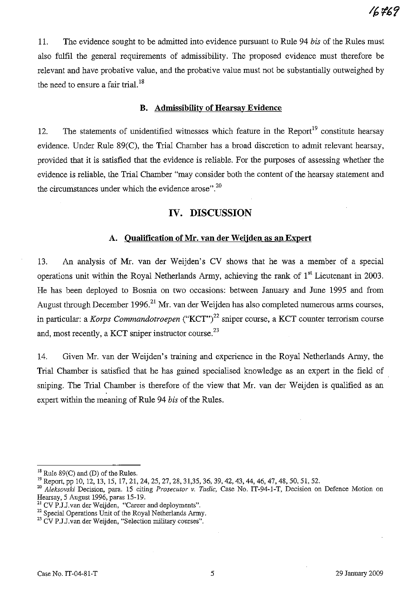11. The evidence sought to be admitted into evidence pursuant to Rule 94 *his* of the Rules must also fulfil the general requirements of admissibility. The proposed evidence must therefore be relevant and have probative value, and the probative value must not be substantially outweighed by the need to ensure a fair trial.<sup>18</sup>

### **B. Admissibility of Hearsay Evidence**

12. The statements of unidentified witnesses which feature in the Report<sup>19</sup> constitute hearsay evidence. Under Rule 89(C), the Trial Chamber has a broad discretion to admit relevant hearsay, provided that it is satisfied that the evidence is reliable. For the purposes of assessing whether the evidence is reliable, the Trial Chamber "may consider both the content of the hearsay statement and the circumstances under which the evidence arose".<sup>20</sup>

## **IV. DISCUSSION**

### **A. Qualification of Mr.** van **der Weijden as an Expert**

13. An analysis of Mr. van der Weijden's CV shows that he was a member of a special operations unit within the Royal Netherlands Army, achieving the rank of  $1<sup>st</sup>$  Lieutenant in 2003. He has been deployed to Bosnia on two occasions: between January and June 1995 and from August through December 1996.<sup>21</sup> Mr. van der Weijden has also completed numerous arms courses, in particular: a *Korps Commandotroepen* ("KCT")<sup>22</sup> sniper course, a KCT counter terrorism course and, most recently, a KCT sniper instructor course. $^{23}$ 

14. Given Mr. van der Weijden's training and experience in the Royal Netherlands Army, the Trial Chamber is satisfied that he has gained specialised knowledge as an expert in the field of sniping. The Trial Chamber is therefore of the view that Mr. van der Weijden is qualified as an expert within the meaning of Rule 94 *his* of the Rules.

 $18$  Rule 89(C) and (D) of the Rules.

<sup>&</sup>lt;sup>19</sup> Report, pp 10, 12, 13, 15, 17, 21, 24, 25, 27, 28, 31,35, 36, 39, 42, 43, 44, 46, 47, 48, 50, 51, 52.

*<sup>20</sup> Aleksovski* Decision, para. 15 citing *Prosecutor v. Tadic,* Case No. IT-94-1-T, Decision on Defence Motion on Hearsay, 5 August 1996, paras 15-19.

 $^{21}$  CV P.J.J.van der Weijden, "Career and deployments".

<sup>&</sup>lt;sup>22</sup> Special Operations Unit of the Royal Netherlands Army.

<sup>&</sup>lt;sup>23</sup> CV P.J.J.van der Weijden, "Selection military courses".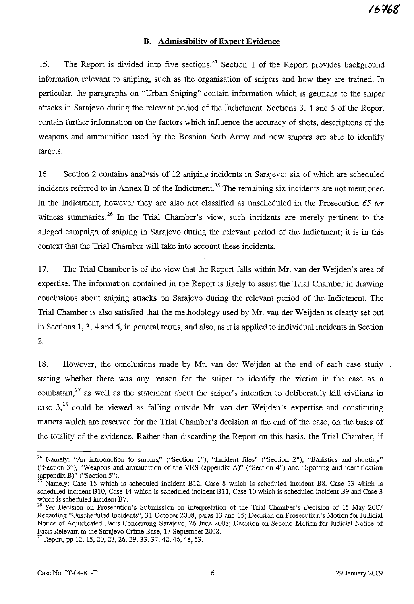### **B. Admissibility of Expert Evidence**

15. The Report is divided into five sections.<sup>24</sup> Section 1 of the Report provides background information relevant to sniping, such as the organisation of snipers and how they are trained. In particular, the paragraphs on "Urban Sniping" contain information which is germane to the sniper attacks in Sarajevo during the relevant period of the Indictment. Sections 3, 4 and 5 of the Report contain further information on the factors which influence the accuracy of shots, descriptions of the weapons and ammunition used by the Bosnian Serb Army and how snipers are able to identify targets.

16. Section 2 contains analysis of 12 sniping incidents in Sarajevo; six of which are scheduled incidents referred to in Annex B of the Indictment.<sup>25</sup> The remaining six incidents are not mentioned in the Indictment, however they are also not classified as unscheduled in the Prosecution 65 *ter* witness summaries.<sup>26</sup> In the Trial Chamber's view, such incidents are merely pertinent to the alleged campaign of sniping in Sarajevo during the relevant period of the Indictment; it is in this context that the Trial Chamber will take into account these incidents.

17. The Trial Chamber is of the view that the Report falls within Mr. van der Weijden's area of expertise. The information contained in the Report is likely to assist the Trial Chamber in drawing conclusions about sniping attacks on Sarajevo during the relevant period of the Indictment. The Trial Chamber is also satisfied that the methodology used by Mr. van der Weijden is clearly set out in Sections 1, 3, 4 and 5, in general terms, and also, as it is applied to individual incidents in Section 2.

18. However, the conclusions made by Mr. van der Weijden at the end of each case study stating whether there was any reason for the sniper to identify the victim in the case as a combatant, $^{27}$  as well as the statement about the sniper's intention to deliberately kill civilians in case  $3<sub>1</sub><sup>28</sup>$  could be viewed as falling outside Mr. van der Weijden's expertise and constituting matters which are reserved for the Trial Chamber's decision at the end of the case, on the basis of the totality of the evidence. Rather than discarding the Report on this basis, the Trial Chamber, if

**<sup>24</sup> Namely: "An introduction to sniping" ("Section 1"), "Incident files" ("Section 2"), "Ballistics and shooting"** ("Section 3"), "Weapons and ammunition of the VRS (appendix A)" ("Section 4") and "Spotting and identification (appendix B)" ("Section 5").

<sup>25</sup> Namely: Case 18 which is scheduled incident B12, Case 8 which is scheduled incident B8, Case 13 which is scheduled incident BIO, Case 14 which is scheduled incident Bll, Case 10 which is scheduled incident B9 and Case 3 which is scheduled incident B7.

*<sup>26</sup> See* Decision on Prosecution's Submission on Interpretation of the Trial Chamber's Decision of 15 May 2007 Regarding "Unscheduled Incidents", 31 October 2008, paras 13 and 15; Decision on Prosecution's Motion for Judicial Notice of Adjudicated Facts Conceming Sarajevo, 26 June 2008; Decision on Second Motion for Judicial Notice of Facts Relevant to the Sarajevo Crime Base, 17 September 2008.

<sup>&</sup>lt;sup>27</sup> Report, pp 12, 15, 20, 23, 26, 29, 33, 37, 42, 46, 48, 53.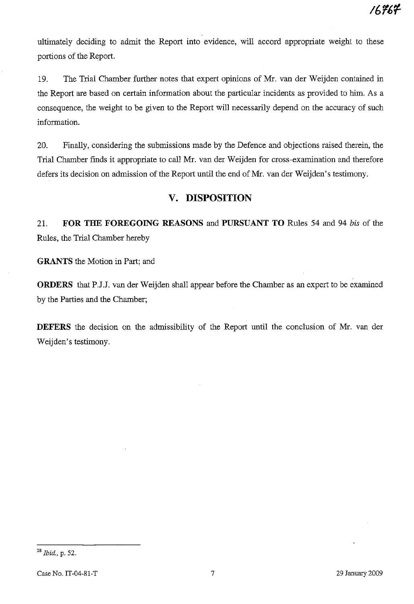ultimately deciding to admit the Report into evidence, will accord appropriate weight to these portions of the Report.

19. The Trial Chamber further notes that expert opinions of Mr. van der Weijden contained in the Report are based on certain information about the particular incidents as provided to him. As a consequence, the weight to be given to the Report will necessarily depend on the accuracy of such information.

20. Finally, considering the submissions made by the Defence and objections raised therein, the Trial Chamber finds it appropriate to call Mr. van der Weijden for cross-examination and therefore defers its decision on admission of the Report until the end of Mr. van der Weijden's testimony.

# **v. DISPOSITION**

21. **FOR THE FOREGOING REASONS** and **PURSUANT TO** Rules 54 and 94 *bis* of the Rules, the Trial Chamber hereby

**GRANTS** the Motion in Part; and

**ORDERS** that PJJ. van der Weijden shall appear before the Chamber as an expert to be examined by the Parties and the Chamber;

**DEFERS** the decision on the admissibility of the Report until the conclusion of Mr. van der Weijden's testimony.

<sup>28</sup> *Ibid.,* p. 52.